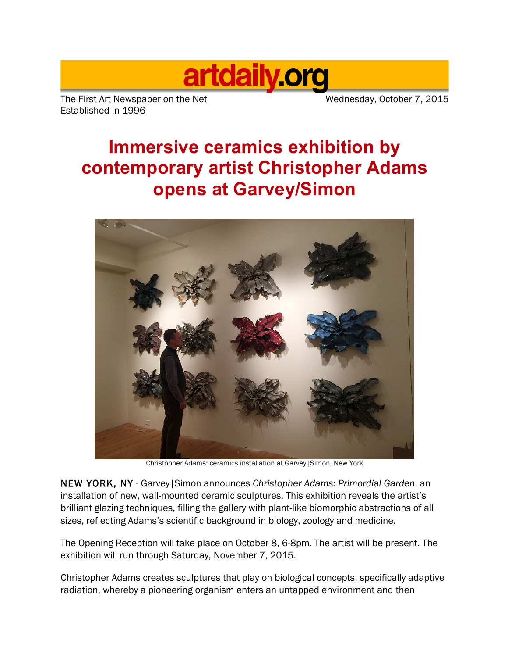

The First Art Newspaper on the Net Wednesday, October 7, 2015 Established in 1996

## **Immersive ceramics exhibition by contemporary artist Christopher Adams opens at Garvey/Simon**



Christopher Adams: ceramics installation at Garvey|Simon, New York

NEW YORK, NY - Garvey|Simon announces *Christopher Adams: Primordial Garden*, an installation of new, wall-mounted ceramic sculptures. This exhibition reveals the artist's brilliant glazing techniques, filling the gallery with plant-like biomorphic abstractions of all sizes, reflecting Adams's scientific background in biology, zoology and medicine.

The Opening Reception will take place on October 8, 6-8pm. The artist will be present. The exhibition will run through Saturday, November 7, 2015.

Christopher Adams creates sculptures that play on biological concepts, specifically adaptive radiation, whereby a pioneering organism enters an untapped environment and then